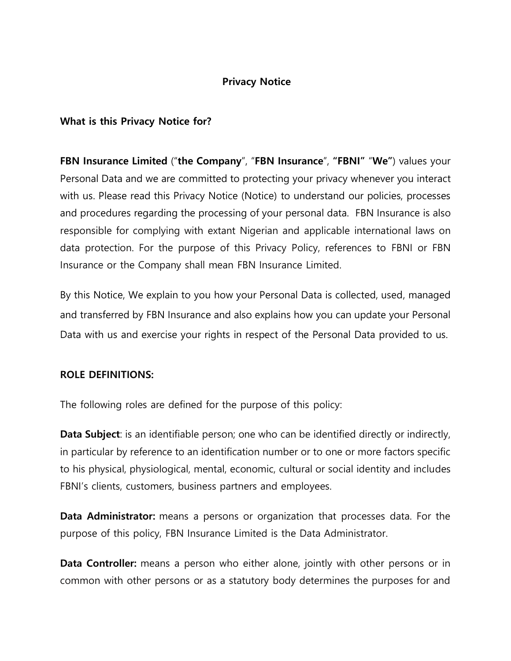## **Privacy Notice**

### **What is this Privacy Notice for?**

**FBN Insurance Limited** ("**the Company**", "**FBN Insurance**", **"FBNI"** "**We"**) values your Personal Data and we are committed to protecting your privacy whenever you interact with us. Please read this Privacy Notice (Notice) to understand our policies, processes and procedures regarding the processing of your personal data. FBN Insurance is also responsible for complying with extant Nigerian and applicable international laws on data protection. For the purpose of this Privacy Policy, references to FBNI or FBN Insurance or the Company shall mean FBN Insurance Limited.

By this Notice, We explain to you how your Personal Data is collected, used, managed and transferred by FBN Insurance and also explains how you can update your Personal Data with us and exercise your rights in respect of the Personal Data provided to us.

### **ROLE DEFINITIONS:**

The following roles are defined for the purpose of this policy:

**Data Subject**: is an identifiable person; one who can be identified directly or indirectly, in particular by reference to an identification number or to one or more factors specific to his physical, physiological, mental, economic, cultural or social identity and includes FBNI's clients, customers, business partners and employees.

**Data Administrator:** means a persons or organization that processes data. For the purpose of this policy, FBN Insurance Limited is the Data Administrator.

**Data Controller:** means a person who either alone, jointly with other persons or in common with other persons or as a statutory body determines the purposes for and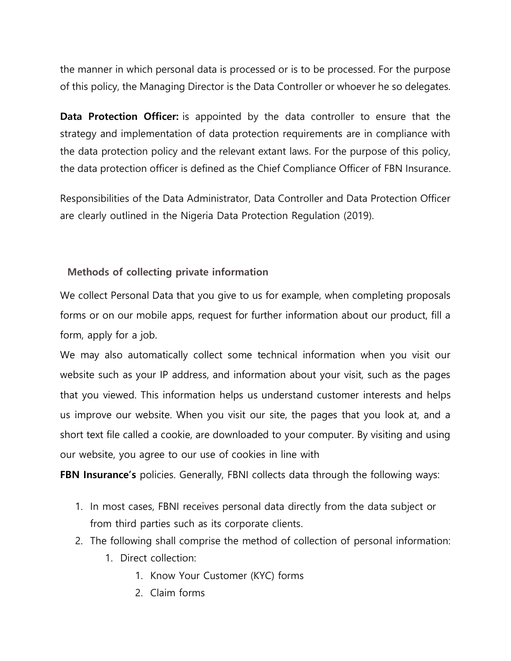the manner in which personal data is processed or is to be processed. For the purpose of this policy, the Managing Director is the Data Controller or whoever he so delegates.

**Data Protection Officer:** is appointed by the data controller to ensure that the strategy and implementation of data protection requirements are in compliance with the data protection policy and the relevant extant laws. For the purpose of this policy, the data protection officer is defined as the Chief Compliance Officer of FBN Insurance.

Responsibilities of the Data Administrator, Data Controller and Data Protection Officer are clearly outlined in the Nigeria Data Protection Regulation (2019).

## **Methods of collecting private information**

We collect Personal Data that you give to us for example, when completing proposals forms or on our mobile apps, request for further information about our product, fill a form, apply for a job.

We may also automatically collect some technical information when you visit our website such as your IP address, and information about your visit, such as the pages that you viewed. This information helps us understand customer interests and helps us improve our website. When you visit our site, the pages that you look at, and a short text file called a cookie, are downloaded to your computer. By visiting and using our website, you agree to our use of cookies in line with

**FBN Insurance's** policies. Generally, FBNI collects data through the following ways:

- 1. In most cases, FBNI receives personal data directly from the data subject or from third parties such as its corporate clients.
- 2. The following shall comprise the method of collection of personal information:
	- 1. Direct collection:
		- 1. Know Your Customer (KYC) forms
		- 2. Claim forms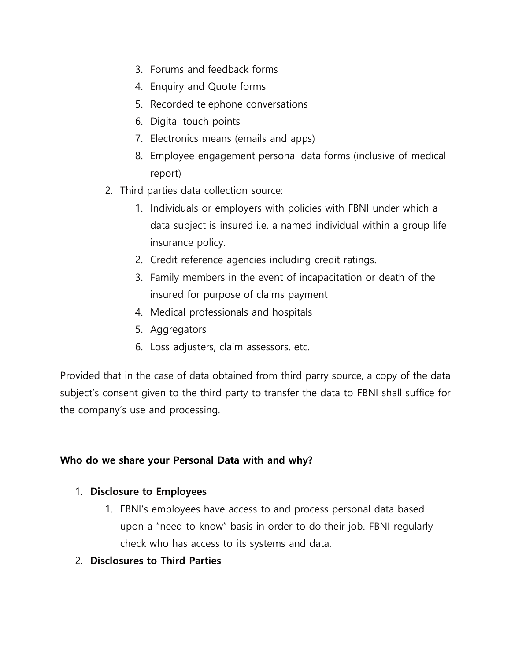- 3. Forums and feedback forms
- 4. Enquiry and Quote forms
- 5. Recorded telephone conversations
- 6. Digital touch points
- 7. Electronics means (emails and apps)
- 8. Employee engagement personal data forms (inclusive of medical report)
- 2. Third parties data collection source:
	- 1. Individuals or employers with policies with FBNI under which a data subject is insured i.e. a named individual within a group life insurance policy.
	- 2. Credit reference agencies including credit ratings.
	- 3. Family members in the event of incapacitation or death of the insured for purpose of claims payment
	- 4. Medical professionals and hospitals
	- 5. Aggregators
	- 6. Loss adjusters, claim assessors, etc.

Provided that in the case of data obtained from third parry source, a copy of the data subject's consent given to the third party to transfer the data to FBNI shall suffice for the company's use and processing.

# **Who do we share your Personal Data with and why?**

# 1. **Disclosure to Employees**

- 1. FBNI's employees have access to and process personal data based upon a "need to know" basis in order to do their job. FBNI regularly check who has access to its systems and data.
- 2. **Disclosures to Third Parties**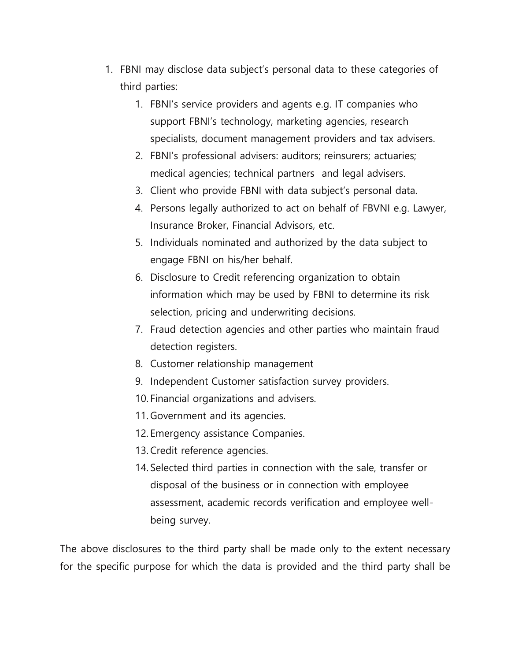- 1. FBNI may disclose data subject's personal data to these categories of third parties:
	- 1. FBNI's service providers and agents e.g. IT companies who support FBNI's technology, marketing agencies, research specialists, document management providers and tax advisers.
	- 2. FBNI's professional advisers: auditors; reinsurers; actuaries; medical agencies; technical partners and legal advisers.
	- 3. Client who provide FBNI with data subject's personal data.
	- 4. Persons legally authorized to act on behalf of FBVNI e.g. Lawyer, Insurance Broker, Financial Advisors, etc.
	- 5. Individuals nominated and authorized by the data subject to engage FBNI on his/her behalf.
	- 6. Disclosure to Credit referencing organization to obtain information which may be used by FBNI to determine its risk selection, pricing and underwriting decisions.
	- 7. Fraud detection agencies and other parties who maintain fraud detection registers.
	- 8. Customer relationship management
	- 9. Independent Customer satisfaction survey providers.
	- 10. Financial organizations and advisers.
	- 11. Government and its agencies.
	- 12. Emergency assistance Companies.
	- 13. Credit reference agencies.
	- 14. Selected third parties in connection with the sale, transfer or disposal of the business or in connection with employee assessment, academic records verification and employee wellbeing survey.

The above disclosures to the third party shall be made only to the extent necessary for the specific purpose for which the data is provided and the third party shall be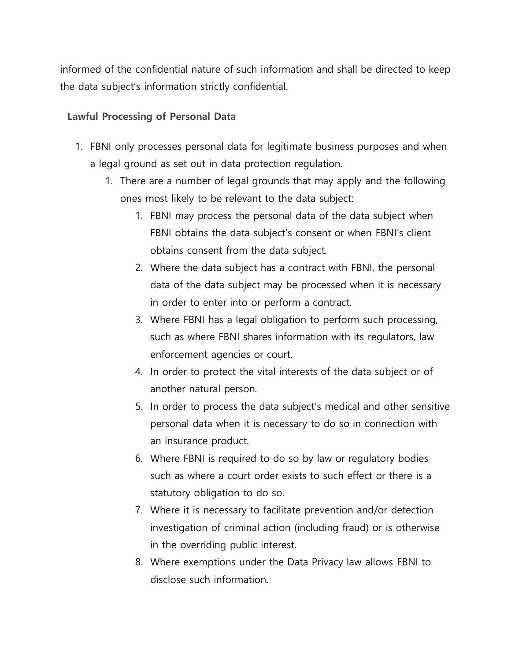informed of the confidential nature of such information and shall be directed to keep the data subject's information strictly confidential.

### **Lawful Processing of Personal Data**

- 1. FBNI only processes personal data for legitimate business purposes and when a legal ground as set out in data protection regulation.
	- 1. There are a number of legal grounds that may apply and the following ones most likely to be relevant to the data subject:
		- 1. FBNI may process the personal data of the data subject when FBNI obtains the data subject's consent or when FBNI's client obtains consent from the data subject.
		- 2. Where the data subject has a contract with FBNI, the personal data of the data subject may be processed when it is necessary in order to enter into or perform a contract.
		- 3. Where FBNI has a legal obligation to perform such processing, such as where FBNI shares information with its regulators, law enforcement agencies or court.
		- 4. In order to protect the vital interests of the data subject or of another natural person.
		- 5. In order to process the data subject's medical and other sensitive personal data when it is necessary to do so in connection with an insurance product.
		- 6. Where FBNI is required to do so by law or regulatory bodies such as where a court order exists to such effect or there is a statutory obligation to do so.
		- 7. Where it is necessary to facilitate prevention and/or detection investigation of criminal action (including fraud) or is otherwise in the overriding public interest.
		- 8. Where exemptions under the Data Privacy law allows FBNI to disclose such information.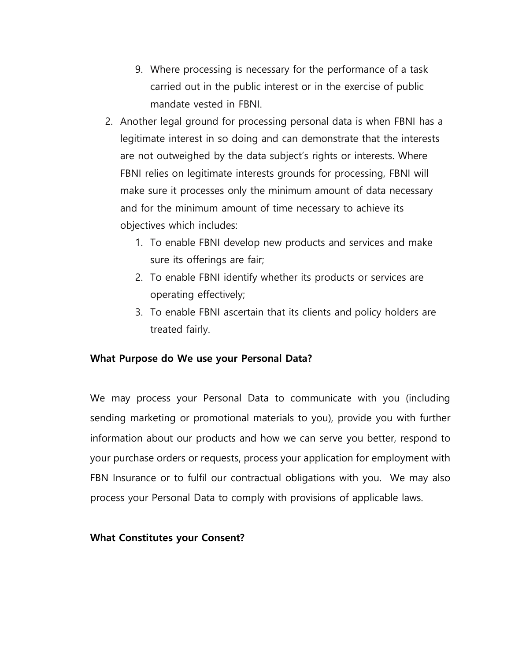- 9. Where processing is necessary for the performance of a task carried out in the public interest or in the exercise of public mandate vested in FBNI.
- 2. Another legal ground for processing personal data is when FBNI has a legitimate interest in so doing and can demonstrate that the interests are not outweighed by the data subject's rights or interests. Where FBNI relies on legitimate interests grounds for processing, FBNI will make sure it processes only the minimum amount of data necessary and for the minimum amount of time necessary to achieve its objectives which includes:
	- 1. To enable FBNI develop new products and services and make sure its offerings are fair;
	- 2. To enable FBNI identify whether its products or services are operating effectively;
	- 3. To enable FBNI ascertain that its clients and policy holders are treated fairly.

## **What Purpose do We use your Personal Data?**

We may process your Personal Data to communicate with you (including sending marketing or promotional materials to you), provide you with further information about our products and how we can serve you better, respond to your purchase orders or requests, process your application for employment with FBN Insurance or to fulfil our contractual obligations with you. We may also process your Personal Data to comply with provisions of applicable laws.

#### **What Constitutes your Consent?**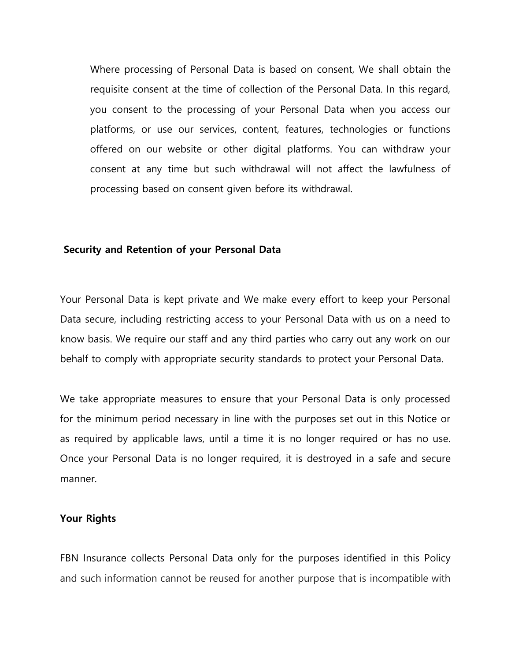Where processing of Personal Data is based on consent, We shall obtain the requisite consent at the time of collection of the Personal Data. In this regard, you consent to the processing of your Personal Data when you access our platforms, or use our services, content, features, technologies or functions offered on our website or other digital platforms. You can withdraw your consent at any time but such withdrawal will not affect the lawfulness of processing based on consent given before its withdrawal.

#### **Security and Retention of your Personal Data**

Your Personal Data is kept private and We make every effort to keep your Personal Data secure, including restricting access to your Personal Data with us on a need to know basis. We require our staff and any third parties who carry out any work on our behalf to comply with appropriate security standards to protect your Personal Data.

We take appropriate measures to ensure that your Personal Data is only processed for the minimum period necessary in line with the purposes set out in this Notice or as required by applicable laws, until a time it is no longer required or has no use. Once your Personal Data is no longer required, it is destroyed in a safe and secure manner.

#### **Your Rights**

FBN Insurance collects Personal Data only for the purposes identified in this Policy and such information cannot be reused for another purpose that is incompatible with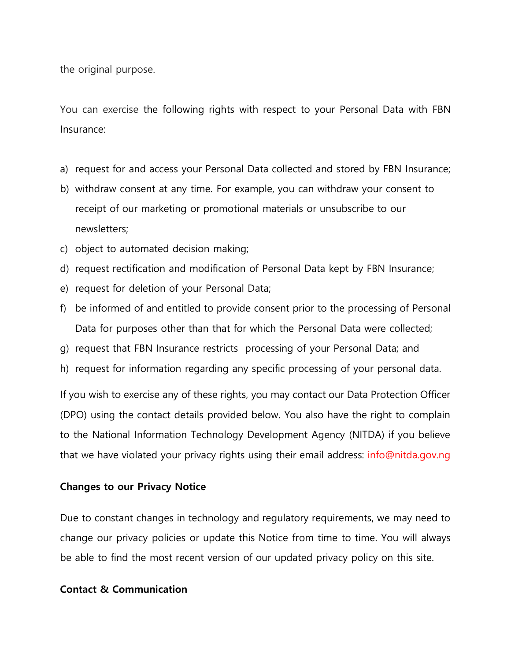the original purpose.

You can exercise the following rights with respect to your Personal Data with FBN Insurance:

- a) request for and access your Personal Data collected and stored by FBN Insurance;
- b) withdraw consent at any time. For example, you can withdraw your consent to receipt of our marketing or promotional materials or unsubscribe to our newsletters;
- c) object to automated decision making;
- d) request rectification and modification of Personal Data kept by FBN Insurance;
- e) request for deletion of your Personal Data;
- f) be informed of and entitled to provide consent prior to the processing of Personal Data for purposes other than that for which the Personal Data were collected;
- g) request that FBN Insurance restricts processing of your Personal Data; and
- h) request for information regarding any specific processing of your personal data.

If you wish to exercise any of these rights, you may contact our Data Protection Officer (DPO) using the contact details provided below. You also have the right to complain to the National Information Technology Development Agency (NITDA) if you believe that we have violated your privacy rights using their email address: info@nitda.gov.ng

### **Changes to our Privacy Notice**

Due to constant changes in technology and regulatory requirements, we may need to change our privacy policies or update this Notice from time to time. You will always be able to find the most recent version of our updated privacy policy on this site.

#### **Contact & Communication**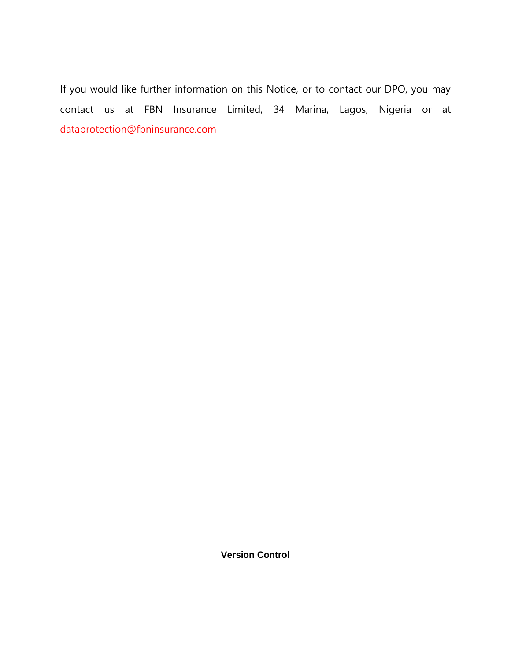If you would like further information on this Notice, or to contact our DPO, you may contact us at FBN Insurance Limited, 34 Marina, Lagos, Nigeria or at dataprotection@fbninsurance.com

**Version Control**